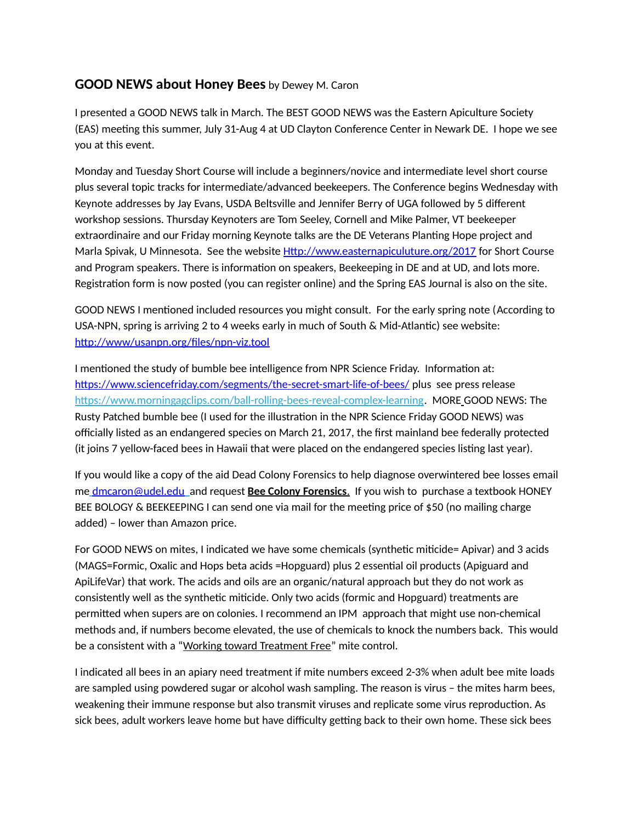## **GOOD NEWS about Honey Bees** by Dewey M. Caron

I presented a GOOD NEWS talk in March. The BEST GOOD NEWS was the Eastern Apiculture Society (EAS) meeting this summer, July 31-Aug 4 at UD Clayton Conference Center in Newark DE. I hope we see you at this event.

Monday and Tuesday Short Course will include a beginners/novice and intermediate level short course plus several topic tracks for intermediate/advanced beekeepers. The Conference begins Wednesday with Keynote addresses by Jay Evans, USDA Beltsville and Jennifer Berry of UGA followed by 5 different workshop sessions. Thursday Keynoters are Tom Seeley, Cornell and Mike Palmer, VT beekeeper extraordinaire and our Friday morning Keynote talks are the DE Veterans Planting Hope project and Marla Spivak, U Minnesota. See the website [Http://www.easternapiculuture.org/2017](http://www.easternapiculuture.org/2017) for Short Course and Program speakers. There is information on speakers, Beekeeping in DE and at UD, and lots more. Registration form is now posted (you can register online) and the Spring EAS Journal is also on the site.

GOOD NEWS I mentioned included resources you might consult. For the early spring note (According to USA-NPN, spring is arriving 2 to 4 weeks early in much of South & Mid-Atlantic) see website: [http://www/usanpn.org/files/npn-viz.tool](http://www/usanpn.org/files/npn-viz.tool/)

I mentioned the study of bumble bee intelligence from NPR Science Friday. Information at: <https://www.sciencefriday.com/segments/the-secret-smart-life-of-bees/> plus see press release [https://www.morningagclips.com/ball-rolling-bees-reveal-complex-learning.](http://blogspot.us12.list-manage1.com/track/click?u=22369801c17077d8e488a5a88&id=ae54f04d7f&e=7985b83b43) MORE GOOD NEWS: The Rusty Patched bumble bee (I used for the illustration in the NPR Science Friday GOOD NEWS) was officially listed as an endangered species on March 21, 2017, the first mainland bee federally protected (it joins 7 yellow-faced bees in Hawaii that were placed on the endangered species listing last year).

If you would like a copy of the aid Dead Colony Forensics to help diagnose overwintered bee losses email me [dmcaron@udel.edu](mailto:dmcaron@udel.edu) and request **Bee Colony Forensics**. If you wish to purchase a textbook HONEY BEE BOLOGY & BEEKEEPING I can send one via mail for the meeting price of \$50 (no mailing charge added) – lower than Amazon price.

For GOOD NEWS on mites, I indicated we have some chemicals (synthetic miticide= Apivar) and 3 acids (MAGS=Formic, Oxalic and Hops beta acids =Hopguard) plus 2 essential oil products (Apiguard and ApiLifeVar) that work. The acids and oils are an organic/natural approach but they do not work as consistently well as the synthetic miticide. Only two acids (formic and Hopguard) treatments are permitted when supers are on colonies. I recommend an IPM approach that might use non-chemical methods and, if numbers become elevated, the use of chemicals to knock the numbers back. This would be a consistent with a "Working toward Treatment Free" mite control.

I indicated all bees in an apiary need treatment if mite numbers exceed 2-3% when adult bee mite loads are sampled using powdered sugar or alcohol wash sampling. The reason is virus – the mites harm bees, weakening their immune response but also transmit viruses and replicate some virus reproduction. As sick bees, adult workers leave home but have difficulty getting back to their own home. These sick bees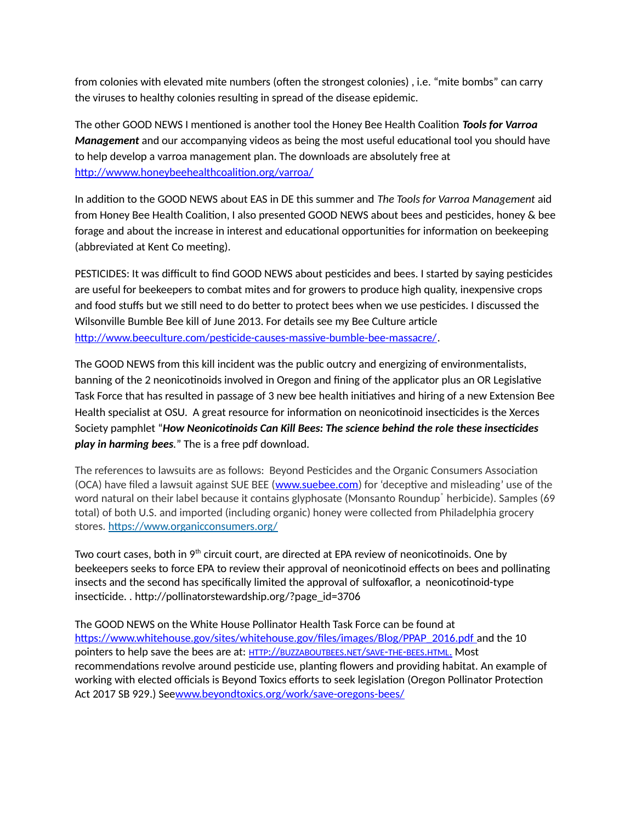from colonies with elevated mite numbers (often the strongest colonies) , i.e. "mite bombs" can carry the viruses to healthy colonies resulting in spread of the disease epidemic.

The other GOOD NEWS I mentioned is another tool the Honey Bee Health Coalition *Tools for Varroa Management* and our accompanying videos as being the most useful educational tool you should have to help develop a varroa management plan. The downloads are absolutely free at <http://wwww.honeybeehealthcoalition.org/varroa/>

In addition to the GOOD NEWS about EAS in DE this summer and *The Tools for Varroa Management* aid from Honey Bee Health Coalition, I also presented GOOD NEWS about bees and pesticides, honey & bee forage and about the increase in interest and educational opportunities for information on beekeeping (abbreviated at Kent Co meeting).

PESTICIDES: It was difficult to find GOOD NEWS about pesticides and bees. I started by saying pesticides are useful for beekeepers to combat mites and for growers to produce high quality, inexpensive crops and food stuffs but we still need to do better to protect bees when we use pesticides. I discussed the Wilsonville Bumble Bee kill of June 2013. For details see my Bee Culture article [http://www.beeculture.com/pesticide-causes-massive-bumble-bee-massacre/.](http://www.beeculture.com/pesticide-causes-massive-bumble-bee-massacre/)

The GOOD NEWS from this kill incident was the public outcry and energizing of environmentalists, banning of the 2 neonicotinoids involved in Oregon and fining of the applicator plus an OR Legislative Task Force that has resulted in passage of 3 new bee health initiatives and hiring of a new Extension Bee Health specialist at OSU. A great resource for information on neonicotinoid insecticides is the Xerces Society pamphlet "*How Neonicotinoids Can Kill Bees: The science behind the role these insecticides play in harming bees.*" The is a free pdf download.

The references to lawsuits are as follows: Beyond Pesticides and the Organic Consumers Association (OCA) have filed a lawsuit against SUE BEE [\(www.suebee.com\)](http://www.suebee.com/) for 'deceptive and misleading' use of the word natural on their label because it contains glyphosate (Monsanto Roundup<sup>®</sup> herbicide). Samples (69 total) of both U.S. and imported (including organic) honey were collected from Philadelphia grocery stores.<https://www.organicconsumers.org/>

Two court cases, both in 9<sup>th</sup> circuit court, are directed at EPA review of neonicotinoids. One by beekeepers seeks to force EPA to review their approval of neonicotinoid effects on bees and pollinating insects and the second has specifically limited the approval of sulfoxaflor, a neonicotinoid-type insecticide. . http://pollinatorstewardship.org/?page\_id=3706

The GOOD NEWS on the White House Pollinator Health Task Force can be found at https://www.whitehouse.gov/sites/whitehouse.gov/files/images/Blog/PPAP\_2016.pdf and the 10 pointers to help save the bees are at: HTTP://[BUZZABOUTBEES](http://buzzaboutbees.net/save-the-bees.html).NET/SAVE-THE-BEES.HTML. Most recommendations revolve around pesticide use, planting flowers and providing habitat. An example of working with elected officials is Beyond Toxics efforts to seek legislation (Oregon Pollinator Protection Act 2017 SB 929.) Se[ewww.beyondtoxics.org/work/save-oregons-bees/](http://www.beyondtoxics.org/work/save-oregons-bees/)